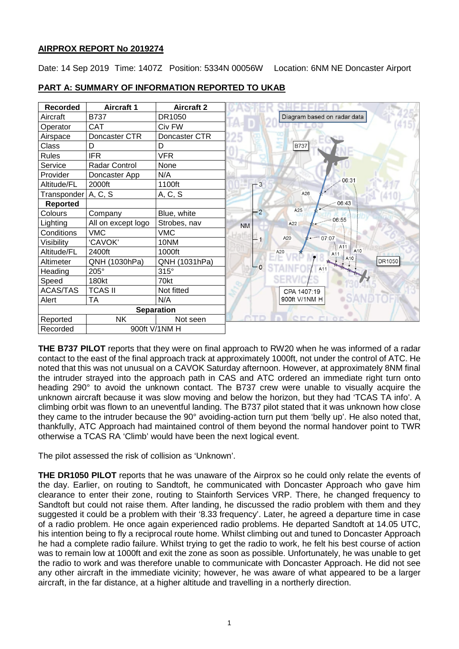# **AIRPROX REPORT No 2019274**

Date: 14 Sep 2019 Time: 1407Z Position: 5334N 00056W Location: 6NM NE Doncaster Airport



# **PART A: SUMMARY OF INFORMATION REPORTED TO UKAB**

**THE B737 PILOT** reports that they were on final approach to RW20 when he was informed of a radar contact to the east of the final approach track at approximately 1000ft, not under the control of ATC. He noted that this was not unusual on a CAVOK Saturday afternoon. However, at approximately 8NM final the intruder strayed into the approach path in CAS and ATC ordered an immediate right turn onto heading 290° to avoid the unknown contact. The B737 crew were unable to visually acquire the unknown aircraft because it was slow moving and below the horizon, but they had 'TCAS TA info'. A climbing orbit was flown to an uneventful landing. The B737 pilot stated that it was unknown how close they came to the intruder because the 90° avoiding-action turn put them 'belly up'. He also noted that, thankfully, ATC Approach had maintained control of them beyond the normal handover point to TWR otherwise a TCAS RA 'Climb' would have been the next logical event.

The pilot assessed the risk of collision as 'Unknown'.

**THE DR1050 PILOT** reports that he was unaware of the Airprox so he could only relate the events of the day. Earlier, on routing to Sandtoft, he communicated with Doncaster Approach who gave him clearance to enter their zone, routing to Stainforth Services VRP. There, he changed frequency to Sandtoft but could not raise them. After landing, he discussed the radio problem with them and they suggested it could be a problem with their '8.33 frequency'. Later, he agreed a departure time in case of a radio problem. He once again experienced radio problems. He departed Sandtoft at 14.05 UTC, his intention being to fly a reciprocal route home. Whilst climbing out and tuned to Doncaster Approach he had a complete radio failure. Whilst trying to get the radio to work, he felt his best course of action was to remain low at 1000ft and exit the zone as soon as possible. Unfortunately, he was unable to get the radio to work and was therefore unable to communicate with Doncaster Approach. He did not see any other aircraft in the immediate vicinity; however, he was aware of what appeared to be a larger aircraft, in the far distance, at a higher altitude and travelling in a northerly direction.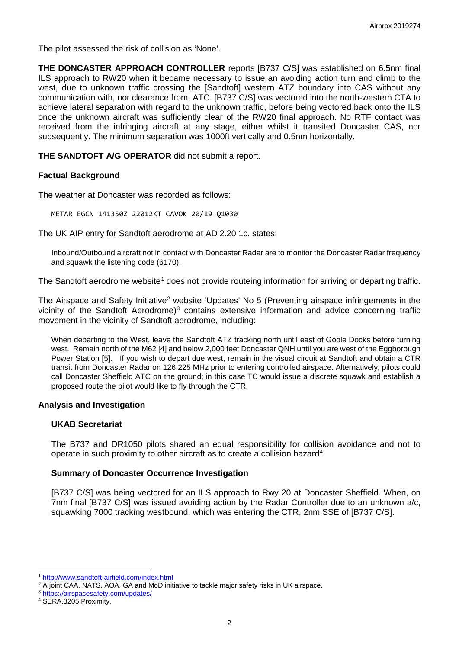The pilot assessed the risk of collision as 'None'.

**THE DONCASTER APPROACH CONTROLLER** reports [B737 C/S] was established on 6.5nm final ILS approach to RW20 when it became necessary to issue an avoiding action turn and climb to the west, due to unknown traffic crossing the [Sandtoft] western ATZ boundary into CAS without any communication with, nor clearance from, ATC. [B737 C/S] was vectored into the north-western CTA to achieve lateral separation with regard to the unknown traffic, before being vectored back onto the ILS once the unknown aircraft was sufficiently clear of the RW20 final approach. No RTF contact was received from the infringing aircraft at any stage, either whilst it transited Doncaster CAS, nor subsequently. The minimum separation was 1000ft vertically and 0.5nm horizontally.

**THE SANDTOFT A/G OPERATOR** did not submit a report.

#### **Factual Background**

The weather at Doncaster was recorded as follows:

METAR EGCN 141350Z 22012KT CAVOK 20/19 Q1030

The UK AIP entry for Sandtoft aerodrome at AD 2.20 1c. states:

Inbound/Outbound aircraft not in contact with Doncaster Radar are to monitor the Doncaster Radar frequency and squawk the listening code (6170).

The Sandtoft aerodrome website<sup>[1](#page-1-0)</sup> does not provide routeing information for arriving or departing traffic.

The Airspace and Safety Initiative<sup>[2](#page-1-1)</sup> website 'Updates' No 5 (Preventing airspace infringements in the vicinity of the Sandtoft Aerodrome)<sup>[3](#page-1-2)</sup> contains extensive information and advice concerning traffic movement in the vicinity of Sandtoft aerodrome, including:

When departing to the West, leave the Sandtoft ATZ tracking north until east of Goole Docks before turning west. Remain north of the M62 [4] and below 2,000 feet Doncaster QNH until you are west of the Eggborough Power Station [5]. If you wish to depart due west, remain in the visual circuit at Sandtoft and obtain a CTR transit from Doncaster Radar on 126.225 MHz prior to entering controlled airspace. Alternatively, pilots could call Doncaster Sheffield ATC on the ground; in this case TC would issue a discrete squawk and establish a proposed route the pilot would like to fly through the CTR.

#### **Analysis and Investigation**

#### **UKAB Secretariat**

The B737 and DR1050 pilots shared an equal responsibility for collision avoidance and not to operate in such proximity to other aircraft as to create a collision hazard<sup>[4](#page-1-3)</sup>.

#### **Summary of Doncaster Occurrence Investigation**

[B737 C/S] was being vectored for an ILS approach to Rwy 20 at Doncaster Sheffield. When, on 7nm final [B737 C/S] was issued avoiding action by the Radar Controller due to an unknown a/c, squawking 7000 tracking westbound, which was entering the CTR, 2nm SSE of [B737 C/S].

l <sup>1</sup> <http://www.sandtoft-airfield.com/index.html>

<span id="page-1-1"></span><span id="page-1-0"></span><sup>&</sup>lt;sup>2</sup> A joint CAA, NATS, AOA, GA and MoD initiative to tackle major safety risks in UK airspace.

<span id="page-1-2"></span><sup>3</sup> <https://airspacesafety.com/updates/>

<span id="page-1-3"></span><sup>4</sup> SERA.3205 Proximity.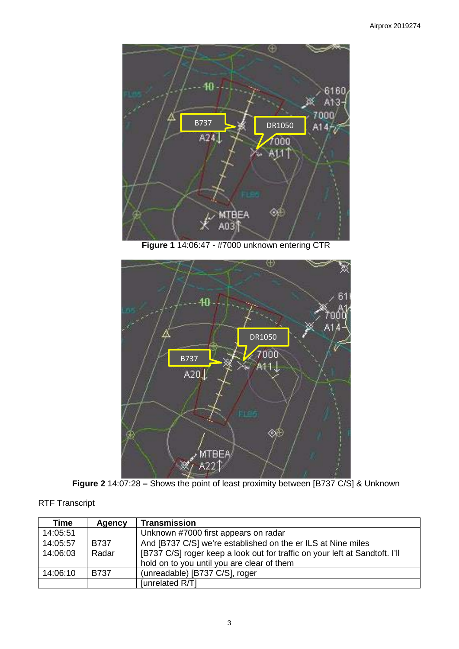

**Figure 1** 14:06:47 - #7000 unknown entering CTR



**Figure 2** 14:07:28 **–** Shows the point of least proximity between [B737 C/S] & Unknown

| Time     | Agency      | <b>Transmission</b>                                                         |  |
|----------|-------------|-----------------------------------------------------------------------------|--|
| 14:05:51 |             | Unknown #7000 first appears on radar                                        |  |
| 14:05:57 | B737        | And [B737 C/S] we're established on the er ILS at Nine miles                |  |
| 14:06:03 | Radar       | [B737 C/S] roger keep a look out for traffic on your left at Sandtoft. I'll |  |
|          |             | hold on to you until you are clear of them                                  |  |
| 14:06:10 | <b>B737</b> | (unreadable) [B737 C/S], roger                                              |  |
|          |             | [unrelated R/T]                                                             |  |

# RTF Transcript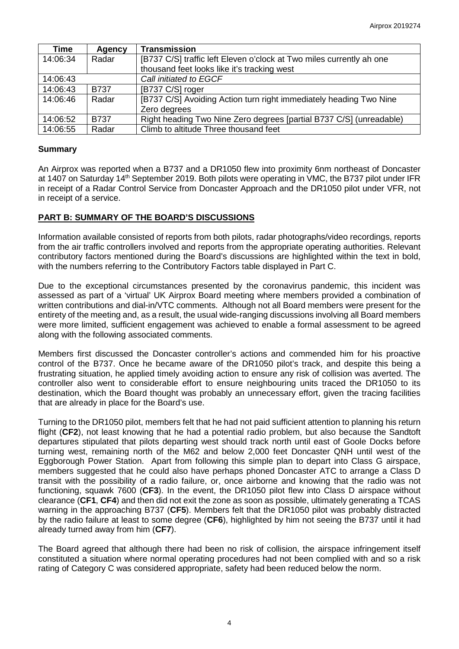| <b>Time</b> | Agency      | <b>Transmission</b>                                                  |  |
|-------------|-------------|----------------------------------------------------------------------|--|
| 14:06:34    | Radar       | [B737 C/S] traffic left Eleven o'clock at Two miles currently ah one |  |
|             |             | thousand feet looks like it's tracking west                          |  |
| 14:06:43    |             | Call initiated to EGCF                                               |  |
| 14:06:43    | <b>B737</b> | [B737 C/S] roger                                                     |  |
| 14:06:46    | Radar       | [B737 C/S] Avoiding Action turn right immediately heading Two Nine   |  |
|             |             | Zero degrees                                                         |  |
| 14:06:52    | <b>B737</b> | Right heading Two Nine Zero degrees [partial B737 C/S] (unreadable)  |  |
| 14:06:55    | Radar       | Climb to altitude Three thousand feet                                |  |

### **Summary**

An Airprox was reported when a B737 and a DR1050 flew into proximity 6nm northeast of Doncaster at 1407 on Saturday 14<sup>th</sup> September 2019. Both pilots were operating in VMC, the B737 pilot under IFR in receipt of a Radar Control Service from Doncaster Approach and the DR1050 pilot under VFR, not in receipt of a service.

### **PART B: SUMMARY OF THE BOARD'S DISCUSSIONS**

Information available consisted of reports from both pilots, radar photographs/video recordings, reports from the air traffic controllers involved and reports from the appropriate operating authorities. Relevant contributory factors mentioned during the Board's discussions are highlighted within the text in bold, with the numbers referring to the Contributory Factors table displayed in Part C.

Due to the exceptional circumstances presented by the coronavirus pandemic, this incident was assessed as part of a 'virtual' UK Airprox Board meeting where members provided a combination of written contributions and dial-in/VTC comments. Although not all Board members were present for the entirety of the meeting and, as a result, the usual wide-ranging discussions involving all Board members were more limited, sufficient engagement was achieved to enable a formal assessment to be agreed along with the following associated comments.

Members first discussed the Doncaster controller's actions and commended him for his proactive control of the B737. Once he became aware of the DR1050 pilot's track, and despite this being a frustrating situation, he applied timely avoiding action to ensure any risk of collision was averted. The controller also went to considerable effort to ensure neighbouring units traced the DR1050 to its destination, which the Board thought was probably an unnecessary effort, given the tracing facilities that are already in place for the Board's use.

Turning to the DR1050 pilot, members felt that he had not paid sufficient attention to planning his return flight (**CF2**), not least knowing that he had a potential radio problem, but also because the Sandtoft departures stipulated that pilots departing west should track north until east of Goole Docks before turning west, remaining north of the M62 and below 2,000 feet Doncaster QNH until west of the Eggborough Power Station. Apart from following this simple plan to depart into Class G airspace, members suggested that he could also have perhaps phoned Doncaster ATC to arrange a Class D transit with the possibility of a radio failure, or, once airborne and knowing that the radio was not functioning, squawk 7600 (**CF3**). In the event, the DR1050 pilot flew into Class D airspace without clearance (**CF1**, **CF4**) and then did not exit the zone as soon as possible, ultimately generating a TCAS warning in the approaching B737 (**CF5**). Members felt that the DR1050 pilot was probably distracted by the radio failure at least to some degree (**CF6**), highlighted by him not seeing the B737 until it had already turned away from him (**CF7**).

The Board agreed that although there had been no risk of collision, the airspace infringement itself constituted a situation where normal operating procedures had not been complied with and so a risk rating of Category C was considered appropriate, safety had been reduced below the norm.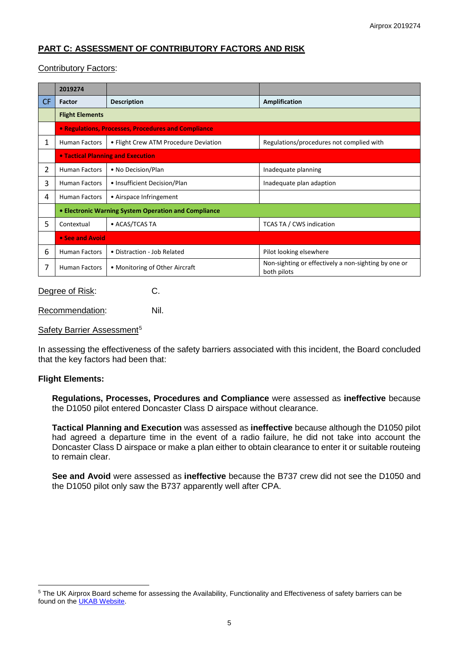# **PART C: ASSESSMENT OF CONTRIBUTORY FACTORS AND RISK**

# Contributory Factors:

|     | 2019274                                                    |                                       |                                                                     |  |  |  |
|-----|------------------------------------------------------------|---------------------------------------|---------------------------------------------------------------------|--|--|--|
| CF. | Factor                                                     | <b>Description</b>                    | Amplification                                                       |  |  |  |
|     | <b>Flight Elements</b>                                     |                                       |                                                                     |  |  |  |
|     | <b>• Regulations, Processes, Procedures and Compliance</b> |                                       |                                                                     |  |  |  |
| 1   | <b>Human Factors</b>                                       | • Flight Crew ATM Procedure Deviation | Regulations/procedures not complied with                            |  |  |  |
|     | • Tactical Planning and Execution                          |                                       |                                                                     |  |  |  |
| 2   | <b>Human Factors</b>                                       | • No Decision/Plan                    | Inadequate planning                                                 |  |  |  |
| 3   | <b>Human Factors</b>                                       | • Insufficient Decision/Plan          | Inadequate plan adaption                                            |  |  |  |
| 4   | <b>Human Factors</b>                                       | • Airspace Infringement               |                                                                     |  |  |  |
|     | • Electronic Warning System Operation and Compliance       |                                       |                                                                     |  |  |  |
| 5   | Contextual                                                 | • ACAS/TCAS TA                        | TCAS TA / CWS indication                                            |  |  |  |
|     | • See and Avoid                                            |                                       |                                                                     |  |  |  |
| 6   | <b>Human Factors</b>                                       | • Distraction - Job Related           | Pilot looking elsewhere                                             |  |  |  |
| 7   | <b>Human Factors</b>                                       | • Monitoring of Other Aircraft        | Non-sighting or effectively a non-sighting by one or<br>both pilots |  |  |  |

# Degree of Risk: C.

Recommendation: Nil.

#### Safety Barrier Assessment<sup>[5](#page-4-0)</sup>

In assessing the effectiveness of the safety barriers associated with this incident, the Board concluded that the key factors had been that:

# **Flight Elements:**

 $\overline{\phantom{a}}$ 

**Regulations, Processes, Procedures and Compliance** were assessed as **ineffective** because the D1050 pilot entered Doncaster Class D airspace without clearance.

**Tactical Planning and Execution** was assessed as **ineffective** because although the D1050 pilot had agreed a departure time in the event of a radio failure, he did not take into account the Doncaster Class D airspace or make a plan either to obtain clearance to enter it or suitable routeing to remain clear.

**See and Avoid** were assessed as **ineffective** because the B737 crew did not see the D1050 and the D1050 pilot only saw the B737 apparently well after CPA.

<span id="page-4-0"></span><sup>&</sup>lt;sup>5</sup> The UK Airprox Board scheme for assessing the Availability, Functionality and Effectiveness of safety barriers can be found on the [UKAB Website.](http://www.airproxboard.org.uk/Learn-more/Airprox-Barrier-Assessment/)